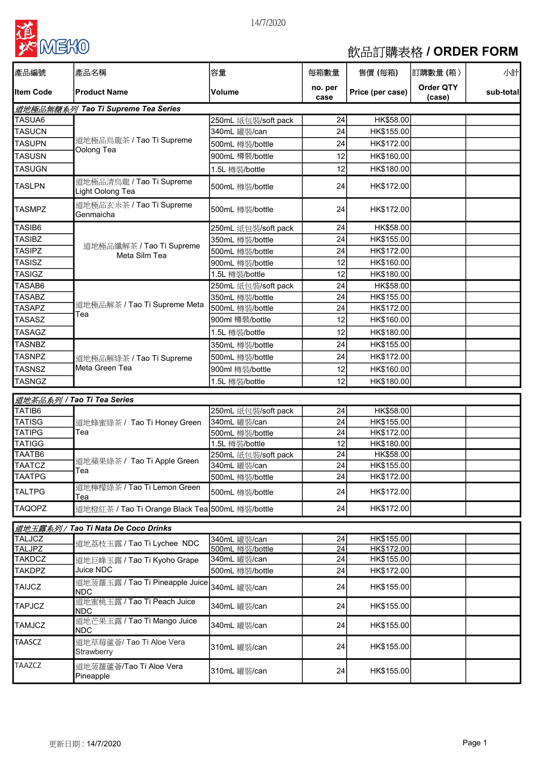

# 飲品訂購表格 / ORDER FORM

| 產品編號                           | 產品名稱                                            | 容量                                    | 每箱數量            | 售價 (每箱)                  | 訂購數量 (箱)                   | 小計        |
|--------------------------------|-------------------------------------------------|---------------------------------------|-----------------|--------------------------|----------------------------|-----------|
| <b>Item Code</b>               | <b>Product Name</b>                             | <b>Volume</b>                         | no. per<br>case | Price (per case)         | <b>Order QTY</b><br>(case) | sub-total |
|                                | 道地極品無糖系列 Tao Ti Supreme Tea Series              |                                       |                 |                          |                            |           |
| TASUA6                         |                                                 | 250mL 紙包裝/soft pack                   | 24              | HK\$58.00                |                            |           |
| <b>TASUCN</b>                  |                                                 | 340mL 罐裝/can                          | 24              | HK\$155.00               |                            |           |
| <b>TASUPN</b>                  | 道地極品烏龍茶 / Tao Ti Supreme                        | 500mL 樽裝/bottle                       | 24              | HK\$172.00               |                            |           |
| <b>TASUSN</b>                  | Oolong Tea                                      | 900mL 樽裝/bottle                       | 12              | HK\$160.00               |                            |           |
| <b>TASUGN</b>                  |                                                 | 1.5L 樽裝/bottle                        | 12              | HK\$180.00               |                            |           |
| <b>TASLPN</b>                  | 道地極品清烏龍 / Tao Ti Supreme<br>Light Oolong Tea    | 500mL 樽裝/bottle                       | 24              | HK\$172.00               |                            |           |
| <b>TASMPZ</b>                  | 道地極品玄米茶 / Tao Ti Supreme<br>Genmaicha           | 500mL 樽裝/bottle                       | 24              | HK\$172.00               |                            |           |
| TASIB6                         |                                                 | 250mL 紙包裝/soft pack                   | 24              | HK\$58.00                |                            |           |
| <b>TASIBZ</b>                  |                                                 | 350mL 樽裝/bottle                       | 24              | HK\$155.00               |                            |           |
| <b>TASIPZ</b>                  | 道地極品纖解茶 / Tao Ti Supreme<br>Meta Silm Tea       | 500mL 樽裝/bottle                       | 24              | HK\$172.00               |                            |           |
| <b>TASISZ</b>                  |                                                 | 900mL 樽裝/bottle                       | 12              | HK\$160.00               |                            |           |
| <b>TASIGZ</b>                  |                                                 | 1.5L 樽裝/bottle                        | 12              | HK\$180.00               |                            |           |
| TASAB6                         |                                                 | 250mL 紙包裝/soft pack                   | 24              | HK\$58.00                |                            |           |
| <b>TASABZ</b>                  |                                                 | 350mL 樽裝/bottle                       | 24              | HK\$155.00               |                            |           |
| <b>TASAPZ</b>                  | 道地極品解茶 / Tao Ti Supreme Meta                    | 500mL 樽裝/bottle                       | 24              | HK\$172.00               |                            |           |
| <b>TASASZ</b>                  | Tea                                             | 900ml 樽裝/bottle                       | 12              | HK\$160.00               |                            |           |
| <b>TASAGZ</b>                  |                                                 | 1.5L 樽裝/bottle                        | 12              | HK\$180.00               |                            |           |
| <b>TASNBZ</b>                  |                                                 | 350mL 樽裝/bottle                       | 24              | HK\$155.00               |                            |           |
| <b>TASNPZ</b>                  | 道地極品解綠茶 / Tao Ti Supreme                        | 500mL 樽裝/bottle                       | 24              | HK\$172.00               |                            |           |
| <b>TASNSZ</b>                  | Meta Green Tea                                  | 900ml 樽裝/bottle                       | 12              | HK\$160.00               |                            |           |
| <b>TASNGZ</b>                  |                                                 | 1.5L 樽裝/bottle                        | 12              | HK\$180.00               |                            |           |
|                                |                                                 |                                       |                 |                          |                            |           |
|                                | 道地茶品系列 / Tao Ti Tea Series                      |                                       |                 |                          |                            |           |
| TATIB6                         |                                                 | 250mL 紙包裝/soft pack                   | 24              | HK\$58.00                |                            |           |
| <b>TATISG</b>                  | 道地蜂蜜綠茶 / Tao Ti Honey Green<br>Tea              | 340mL 罐裝/can                          | 24              | HK\$155.00               |                            |           |
| <b>TATIPG</b><br><b>TATIGG</b> |                                                 | 500mL 樽裝/bottle                       | 24<br>12        | HK\$172.00<br>HK\$180.00 |                            |           |
| TAATB6                         |                                                 | 1.5L 樽裝/bottle<br>250mL 紙包裝/soft pack | 24              | HK\$58.00                |                            |           |
| <b>TAATCZ</b>                  | 道地蘋果綠茶 / Tao Ti Apple Green                     | 340mL 罐裝/can                          | 24              | HK\$155.00               |                            |           |
| <b>TAATPG</b>                  | Tea                                             | 500mL 樽裝/bottle                       | 24              | HK\$172.00               |                            |           |
| <b>TALTPG</b>                  | 道地檸檬綠茶 / Tao Ti Lemon Green<br>Tea              | 500mL 樽裝/bottle                       | 24              | HK\$172.00               |                            |           |
| <b>TAQOPZ</b>                  | 道地橙紅茶 / Tao Ti Orange Black Tea 500mL 樽裝/bottle |                                       | 24              | HK\$172.00               |                            |           |
|                                | 道地玉露系列 / Tao Ti Nata De Coco Drinks             |                                       |                 |                          |                            |           |
| <b>TALJCZ</b>                  |                                                 | 340mL 罐裝/can                          | 24              | HK\$155.00               |                            |           |
| <b>TALJPZ</b>                  | 道地荔枝玉露 / Tao Ti Lychee NDC                      | 500mL 樽裝/bottle                       | $\overline{24}$ | HK\$172.00               |                            |           |
| <b>TAKDCZ</b>                  | 道地巨峰玉露 / Tao Ti Kyoho Grape                     | 340mL 罐裝/can                          | 24              | HK\$155.00               |                            |           |
| <b>TAKDPZ</b>                  | Juice NDC                                       | 500mL 樽裝/bottle                       | 24              | HK\$172.00               |                            |           |
| <b>TAIJCZ</b>                  | 道地菠蘿玉露 / Tao Ti Pineapple Juice<br><b>NDC</b>   | 340mL 罐裝/can                          | 24              | HK\$155.00               |                            |           |
| <b>TAPJCZ</b>                  | 道地蜜桃玉露 / Tao Ti Peach Juice<br><b>NDC</b>       | 340mL 罐裝/can                          | 24              | HK\$155.00               |                            |           |
| <b>TAMJCZ</b>                  | 道地芒果玉露 / Tao Ti Mango Juice<br><b>NDC</b>       | 340mL 罐裝/can                          | 24              | HK\$155.00               |                            |           |
| <b>TAASCZ</b>                  | 道地草莓蘆薈/ Tao Ti Aloe Vera<br>Strawberry          | 310mL 罐裝/can                          | 24              | HK\$155.00               |                            |           |
| <b>TAAZCZ</b>                  | 道地菠蘿蘆薈/Tao Ti Aloe Vera<br>Pineapple            | 310mL 罐裝/can                          | 24              | HK\$155.00               |                            |           |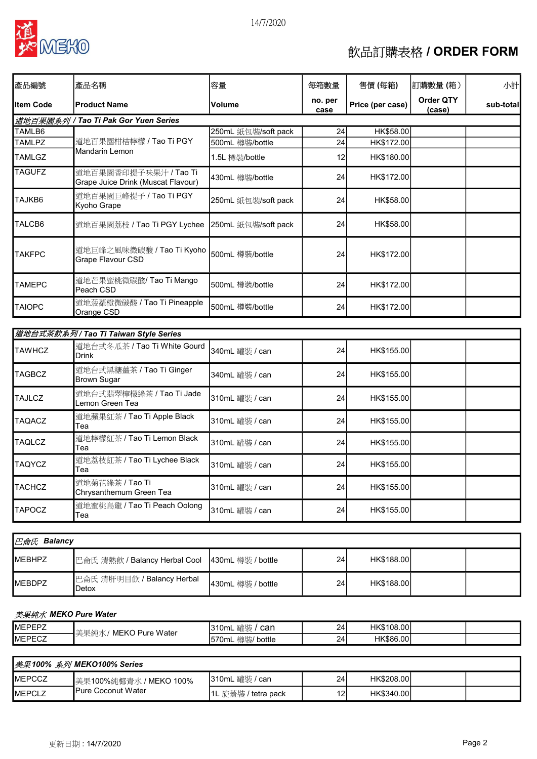

# 飲品訂購表格 / ORDER FORM

| 產品編號             | 產品名稱                                                        | 容量                  | 每箱數量            | 售價 (每箱)          | 訂購數量(箱)             | 小計        |
|------------------|-------------------------------------------------------------|---------------------|-----------------|------------------|---------------------|-----------|
| <b>Item Code</b> | <b>Product Name</b>                                         | Volume              | no. per<br>case | Price (per case) | Order QTY<br>(case) | sub-total |
|                  | 道地百果園系列 / Tao Ti Pak Gor Yuen Series                        |                     |                 |                  |                     |           |
| TAMLB6           |                                                             | 250mL 紙包裝/soft pack | 24              | HK\$58.00        |                     |           |
| <b>TAMLPZ</b>    | 道地百果園柑桔檸檬 / Tao Ti PGY                                      | 500mL 樽裝/bottle     | 24              | HK\$172.00       |                     |           |
| <b>TAMLGZ</b>    | Mandarin Lemon                                              | 1.5L 樽裝/bottle      | 12              | HK\$180.00       |                     |           |
| <b>TAGUFZ</b>    | 道地百果園香印提子味果汁 / Tao Ti<br>Grape Juice Drink (Muscat Flavour) | 430mL 樽裝/bottle     | 24              | HK\$172.00       |                     |           |
| TAJKB6           | 道地百果園巨峰提子 / Tao Ti PGY<br>Kyoho Grape                       | 250mL 紙包裝/soft pack | 24              | HK\$58.00        |                     |           |
| TALCB6           | 道地百果園荔枝 / Tao Ti PGY Lychee                                 | 250mL 紙包裝/soft pack | 24              | HK\$58.00        |                     |           |
| <b>TAKFPC</b>    | 道地巨峰之風味微碳酸 / Tao Ti Kyoho<br>Grape Flavour CSD              | 500mL 樽裝/bottle     | 24              | HK\$172.00       |                     |           |
| TAMEPC           | 道地芒果蜜桃微碳酸/ Tao Ti Mango<br>Peach CSD                        | 500mL 樽裝/bottle     | 24              | HK\$172.00       |                     |           |
| <b>TAIOPC</b>    | 道地菠蘿橙微碳酸 / Tao Ti Pineapple<br>Orange CSD                   | 500mL 樽裝/bottle     | 24              | HK\$172.00       |                     |           |
|                  | 道地台式茶飲系列 / Tao Ti Taiwan Style Series                       |                     |                 |                  |                     |           |
| <b>TAWHCZ</b>    | 道地台式冬瓜茶 / Tao Ti White Gourd<br>Drink                       | 340mL 罐裝 / can      | 24              | HK\$155.00       |                     |           |
| TAGBCZ           | 道地台式黑糖薑茶 / Tao Ti Ginger<br><b>Brown Sugar</b>              | 340mL 罐裝 / can      | 24              | HK\$155.00       |                     |           |
| <b>TAJLCZ</b>    | 道地台式翡翠檸檬綠茶 / Tao Ti Jade<br>Lemon Green Tea                 | 310mL 罐裝 / can      | 24              | HK\$155.00       |                     |           |
| <b>TAQACZ</b>    | 道地蘋果紅茶 / Tao Ti Apple Black<br>Tea                          | 310mL 罐裝 / can      | 24              | HK\$155.00       |                     |           |
| <b>TAQLCZ</b>    | 道地檸檬紅茶 / Tao Ti Lemon Black<br>Tea                          | 310mL 罐裝 / can      | 24              | HK\$155.00       |                     |           |
| <b>TAQYCZ</b>    | 道地荔枝紅茶 / Tao Ti Lychee Black<br>Tea                         | 310mL 罐裝 / can      | 24              | HK\$155.00       |                     |           |
| <b>TACHCZ</b>    | 道地菊花綠茶 / Tao Ti<br>Chrysanthemum Green Tea                  | 310mL 罐裝 / can      | 24              | HK\$155.00       |                     |           |
| <b>TAPOCZ</b>    | 道地蜜桃烏龍 / Tao Ti Peach Oolong<br>Tea                         | 310mL 罐裝 / can      | 24              | HK\$155.00       |                     |           |

| 巴侖氏 Balancy     |                                                    |                   |    |            |  |  |
|-----------------|----------------------------------------------------|-------------------|----|------------|--|--|
| <b>I</b> MEBHPZ | ■巴侖氏 清熱飲 / Balancy Herbal Cool   430mL 樽裝 / bottle |                   | 24 | HK\$188,00 |  |  |
| <b>I</b> MEBDPZ | 巴侖氏 清肝明目飲 / Balancy Herbal<br>Detox                | 430mL 樽裝 / bottle | 24 | HK\$188,00 |  |  |

### 美果純水 MEKO Pure Water

| <b>MEPEP7</b> | MEKO Pure Water<br>美果純 | 罐裝<br>l310mL<br>can         | 24 | HK\$108.00 |  |
|---------------|------------------------|-----------------------------|----|------------|--|
| <b>MEPECZ</b> |                        | - 樽裝/'<br>570mL<br>' bottle | 24 | HK\$86.00  |  |

| 美果100% 系列 MEKO100% Series |                           |                     |    |             |  |  |
|---------------------------|---------------------------|---------------------|----|-------------|--|--|
| <b>IMEPCCZ</b>            | 美果100%純椰青水 / MEKO 100%    | 310mL 罐裝 / can      | 24 | HK\$208.00I |  |  |
| <b>IMEPCLZ</b>            | <b>Pure Coconut Water</b> | 1L 旋蓋裝 / tetra pack | 12 | HK\$340.00  |  |  |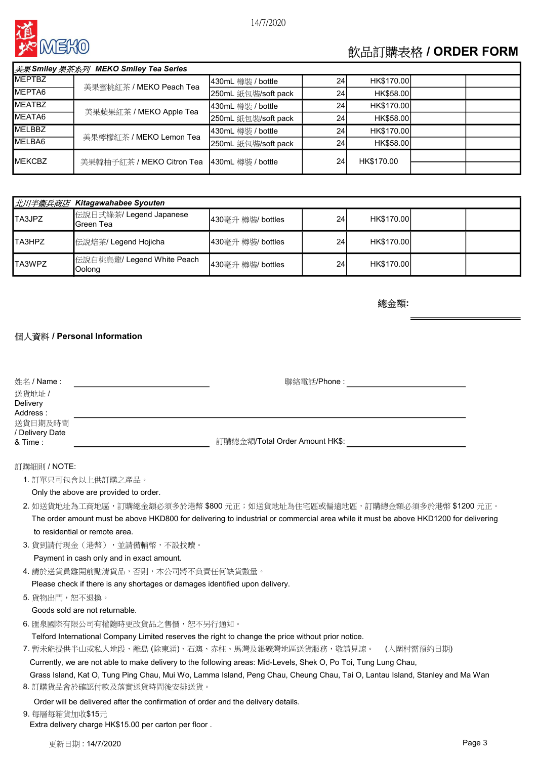

## 飲品訂購表格 / ORDER FORM

| 美果 Smiley 果茶系列 MEKO Smiley Tea Series |                           |                     |                 |            |  |  |
|---------------------------------------|---------------------------|---------------------|-----------------|------------|--|--|
| <b>MEPTBZ</b>                         | 美果蜜桃紅茶 / MEKO Peach Tea   | 430mL 樽裝 / bottle   | 24 <sub>1</sub> | HK\$170.00 |  |  |
| MEPTA6                                |                           | 250mL 紙包裝/soft pack | 24              | HK\$58.00  |  |  |
| <b>MEATBZ</b>                         | 美果蘋果紅茶 / MEKO Apple Tea   | 430mL 樽裝 / bottle   | 24 <sub>1</sub> | HK\$170.00 |  |  |
| MEATA6                                |                           | 250mL 紙包裝/soft pack | 24 <sub>1</sub> | HK\$58.00  |  |  |
| <b>MELBBZ</b>                         | 美果檸檬紅茶 / MEKO Lemon Tea   | 430mL 樽裝 / bottle   | 24 <sub>1</sub> | HK\$170.00 |  |  |
| MELBA6                                |                           | 250mL 紙包裝/soft pack | 24 <sub>1</sub> | HK\$58.00  |  |  |
| <b>IMEKCBZ</b>                        | 美果韓柚子紅茶 / MEKO Citron Tea | 430mL 樽裝 / bottle   | 24 <sub>1</sub> | HK\$170.00 |  |  |
|                                       |                           |                     |                 |            |  |  |

|                | 北川半衞兵商店 Kitagawahabee Syouten                |                   |                 |            |  |
|----------------|----------------------------------------------|-------------------|-----------------|------------|--|
| <b>TA3JPZ</b>  | 伝說日式綠茶/Legend Japanese<br><b>I</b> Green Tea | 430毫升 樽裝/ bottles | 24 <sub>1</sub> | HK\$170.00 |  |
| <b>ITA3HPZ</b> | ▌伝說焙茶/ Legend Hojicha                        | 430毫升 樽裝/ bottles | 24 <sub>1</sub> | HK\$170.00 |  |
| <b>TA3WPZ</b>  | 伝說白桃烏龍/ Legend White Peach<br>Oolong         | 430毫升 樽裝/ bottles | 24 <sub>1</sub> | HK\$170.00 |  |

總金額:

### 個人資料 / Personal Information

| 姓名/Name:                               | 聯絡電話/Phone :                   |
|----------------------------------------|--------------------------------|
| 送貨地址 /<br>Delivery<br>Address:         |                                |
| 送貨日期及時間<br>/ Delivery Date<br>& Time : | 訂購總金額/Total Order Amount HK\$: |

#### 訂購細則 / NOTE:

1. 訂單只可包含以上供訂購之產品。

Only the above are provided to order.

- 2. 如送貨地址為工商地區,訂購總金額必須多於港幣 \$800 元正;如送貨地址為住宅區或偏遠地區,訂購總金額必須多於港幣 \$1200 元正。 The order amount must be above HKD800 for delivering to industrial or commercial area while it must be above HKD1200 for delivering to residential or remote area.
- 3. 貨到請付現金(港幣),並請備輔幣,不設找贖。

Payment in cash only and in exact amount.

- 4. 請於送貨員離開前點清貨品,否則,本公司將不負責任何缺貨數量。
- Please check if there is any shortages or damages identified upon delivery.

5. 貨物出門, 恕不狠換。

#### Goods sold are not returnable.

6. 匯泉國際有限公司有權隨時更改貨品之售價,恕不另行通知。

Telford International Company Limited reserves the right to change the price without prior notice.

7. 暫未能提供半山或私人地段、離島 (除東涌)、石澳、赤柱、馬灣及銀礦灣地區送貨服務,敬請見諒。 (入圍村需預約日期)

Currently, we are not able to make delivery to the following areas: Mid-Levels, Shek O, Po Toi, Tung Lung Chau,

 Grass Island, Kat O, Tung Ping Chau, Mui Wo, Lamma Island, Peng Chau, Cheung Chau, Tai O, Lantau Island, Stanley and Ma Wan 8. 訂購貨品會於確認付款及落實送貨時間後安排送貨。

Order will be delivered after the confirmation of order and the delivery details.

9. 每層每箱貨加收\$15元

Extra delivery charge HK\$15.00 per carton per floor .